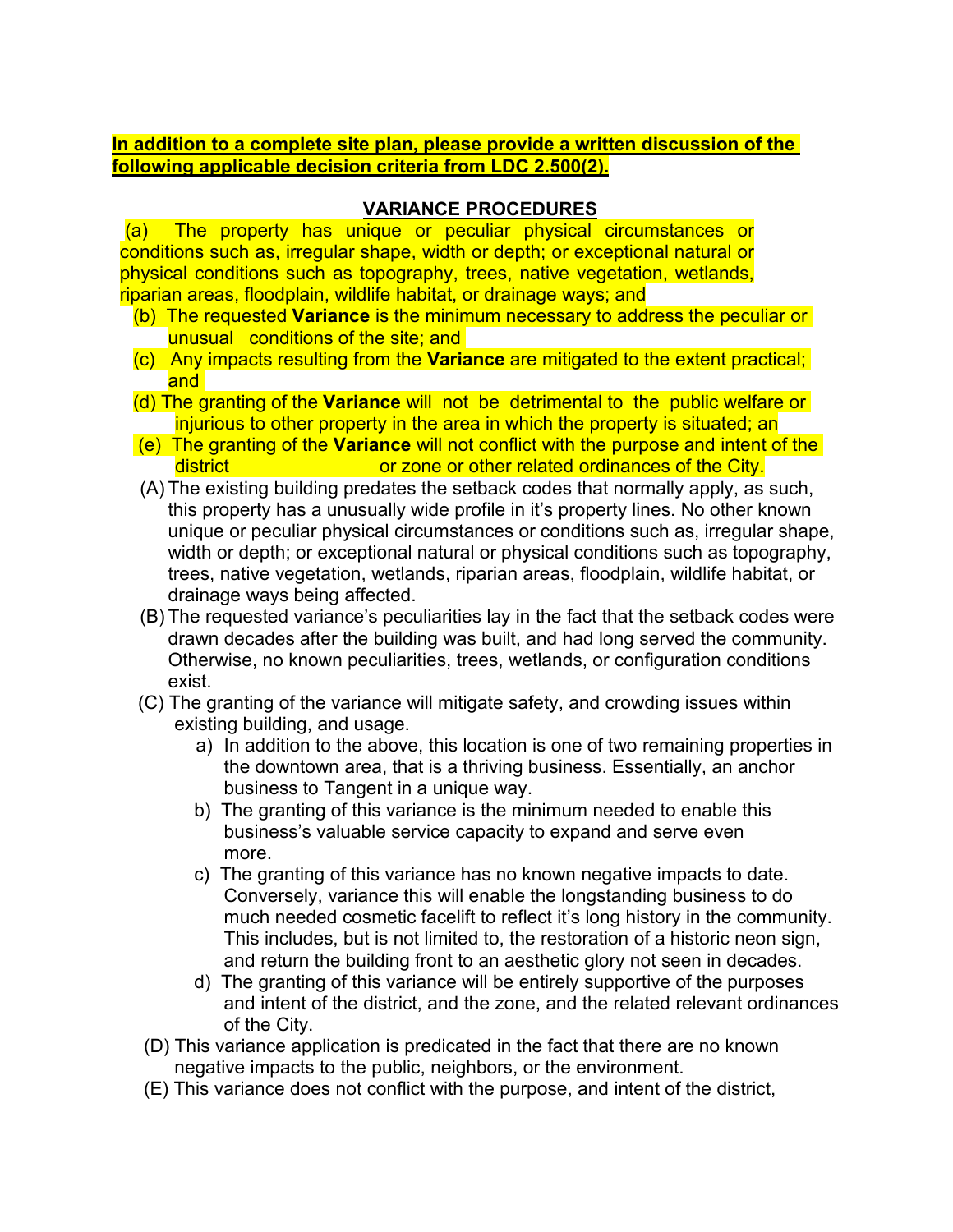## **In addition to a complete site plan, please provide a written discussion of the following applicable decision criteria from LDC 2.500(2).**

## **VARIANCE PROCEDURES**

(a) The property has unique or peculiar physical circumstances or conditions such as, irregular shape, width or depth; or exceptional natural or physical conditions such as topography, trees, native vegetation, wetlands, riparian areas, floodplain, wildlife habitat, or drainage ways; and

- (b) The requested **Variance** is the minimum necessary to address the peculiar or unusual conditions of the site; and
- (c) Any impacts resulting from the **Variance** are mitigated to the extent practical; and
- (d) The granting of the **Variance** will not be detrimental to the public welfare or injurious to other property in the area in which the property is situated; an
- (e) The granting of the **Variance** will not conflict with the purpose and intent of the district **or zone or other related ordinances of the City.**
- (A) The existing building predates the setback codes that normally apply, as such, this property has a unusually wide profile in it's property lines. No other known unique or peculiar physical circumstances or conditions such as, irregular shape, width or depth; or exceptional natural or physical conditions such as topography, trees, native vegetation, wetlands, riparian areas, floodplain, wildlife habitat, or drainage ways being affected.
- (B) The requested variance's peculiarities lay in the fact that the setback codes were drawn decades after the building was built, and had long served the community. Otherwise, no known peculiarities, trees, wetlands, or configuration conditions exist.
- (C) The granting of the variance will mitigate safety, and crowding issues within existing building, and usage.
	- a) In addition to the above, this location is one of two remaining properties in the downtown area, that is a thriving business. Essentially, an anchor business to Tangent in a unique way.
	- b) The granting of this variance is the minimum needed to enable this business's valuable service capacity to expand and serve even more.
	- c) The granting of this variance has no known negative impacts to date. Conversely, variance this will enable the longstanding business to do much needed cosmetic facelift to reflect it's long history in the community. This includes, but is not limited to, the restoration of a historic neon sign, and return the building front to an aesthetic glory not seen in decades.
	- d) The granting of this variance will be entirely supportive of the purposes and intent of the district, and the zone, and the related relevant ordinances of the City.
- (D) This variance application is predicated in the fact that there are no known negative impacts to the public, neighbors, or the environment.
- (E) This variance does not conflict with the purpose, and intent of the district,